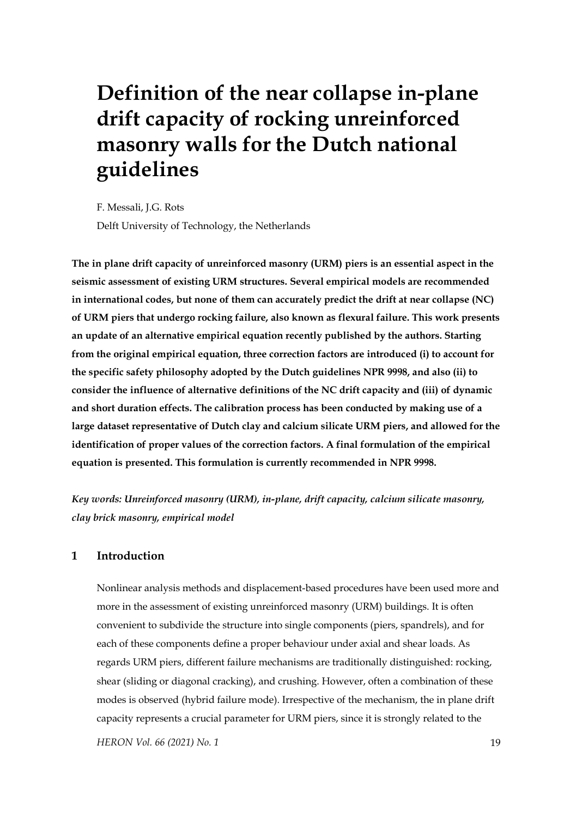# **Definition of the near collapse in-plane drift capacity of rocking unreinforced masonry walls for the Dutch national guidelines**

F. Messali, J.G. Rots Delft University of Technology, the Netherlands

**The in plane drift capacity of unreinforced masonry (URM) piers is an essential aspect in the seismic assessment of existing URM structures. Several empirical models are recommended in international codes, but none of them can accurately predict the drift at near collapse (NC) of URM piers that undergo rocking failure, also known as flexural failure. This work presents an update of an alternative empirical equation recently published by the authors. Starting from the original empirical equation, three correction factors are introduced (i) to account for the specific safety philosophy adopted by the Dutch guidelines NPR 9998, and also (ii) to consider the influence of alternative definitions of the NC drift capacity and (iii) of dynamic and short duration effects. The calibration process has been conducted by making use of a large dataset representative of Dutch clay and calcium silicate URM piers, and allowed for the identification of proper values of the correction factors. A final formulation of the empirical equation is presented. This formulation is currently recommended in NPR 9998.**

*Key words: Unreinforced masonry (URM), in-plane, drift capacity, calcium silicate masonry, clay brick masonry, empirical model*

### **1 Introduction**

Nonlinear analysis methods and displacement-based procedures have been used more and more in the assessment of existing unreinforced masonry (URM) buildings. It is often convenient to subdivide the structure into single components (piers, spandrels), and for each of these components define a proper behaviour under axial and shear loads. As regards URM piers, different failure mechanisms are traditionally distinguished: rocking, shear (sliding or diagonal cracking), and crushing. However, often a combination of these modes is observed (hybrid failure mode). Irrespective of the mechanism, the in plane drift capacity represents a crucial parameter for URM piers, since it is strongly related to the

*HERON Vol. 66 (2021) No. 1* 19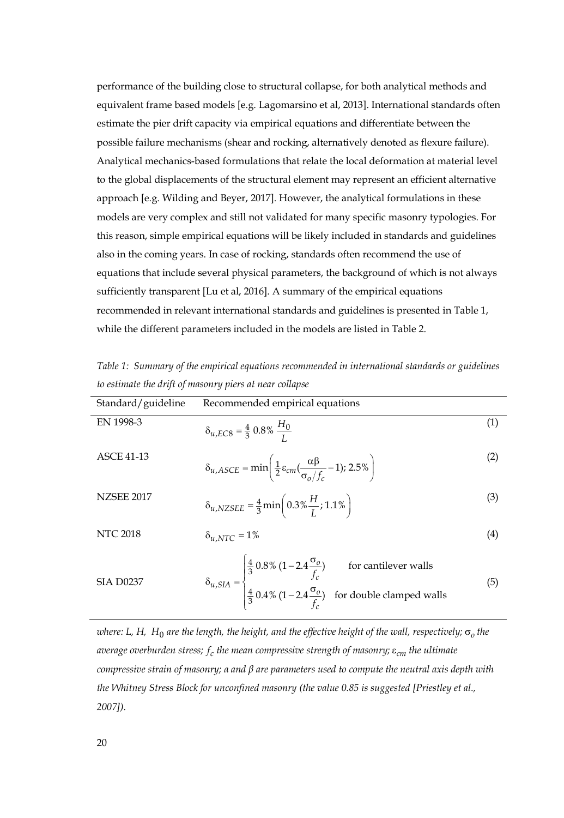performance of the building close to structural collapse, for both analytical methods and equivalent frame based models [e.g. Lagomarsino et al, 2013]. International standards often estimate the pier drift capacity via empirical equations and differentiate between the possible failure mechanisms (shear and rocking, alternatively denoted as flexure failure). Analytical mechanics-based formulations that relate the local deformation at material level to the global displacements of the structural element may represent an efficient alternative approach [e.g. Wilding and Beyer, 2017]. However, the analytical formulations in these models are very complex and still not validated for many specific masonry typologies. For this reason, simple empirical equations will be likely included in standards and guidelines also in the coming years. In case of rocking, standards often recommend the use of equations that include several physical parameters, the background of which is not always sufficiently transparent [Lu et al, 2016]. A summary of the empirical equations recommended in relevant international standards and guidelines is presented in Table 1, while the different parameters included in the models are listed in Table 2.

*Table 1: Summary of the empirical equations recommended in international standards or guidelines to estimate the drift of masonry piers at near collapse*

| Standard/guideline | Recommended empirical equations                                                                                                                                                                                   |     |  |  |  |  |  |
|--------------------|-------------------------------------------------------------------------------------------------------------------------------------------------------------------------------------------------------------------|-----|--|--|--|--|--|
| EN 1998-3          | $\delta_{u,EC8} = \frac{4}{3} 0.8\% \frac{H_0}{I}$                                                                                                                                                                | (1) |  |  |  |  |  |
| <b>ASCE 41-13</b>  | $\delta_{u,ASCE} = \min \left( \frac{1}{2} \varepsilon_{cm} (\frac{\alpha \beta}{\sigma_{o}/f_{o}} - 1); 2.5\% \right)$                                                                                           | (2) |  |  |  |  |  |
| <b>NZSEE 2017</b>  | $\delta_{u, NZSEE} = \frac{4}{3} \min \left( 0.3\% \frac{H}{I}; 1.1\% \right)$                                                                                                                                    | (3) |  |  |  |  |  |
| <b>NTC 2018</b>    | $\delta_{u,NTC} = 1\%$                                                                                                                                                                                            | (4) |  |  |  |  |  |
| <b>SIA D0237</b>   | $\delta_{u,SIA} = \begin{cases} \frac{4}{3} 0.8\% (1 - 2.4 \frac{\sigma_o}{f_c}) & \text{for cantilever walls} \\ \frac{4}{3} 0.4\% (1 - 2.4 \frac{\sigma_o}{f_c}) & \text{for double clamped walls} \end{cases}$ | (5) |  |  |  |  |  |

*where: L, H, H*<sup>0</sup> *are the length, the height, and the effective height of the wall, respectively;* σ*<sup>o</sup> the average overburden stress; cf the mean compressive strength of masonry;* ε*cm the ultimate compressive strain of masonry; α and β are parameters used to compute the neutral axis depth with the Whitney Stress Block for unconfined masonry (the value 0.85 is suggested [Priestley et al., 2007]).*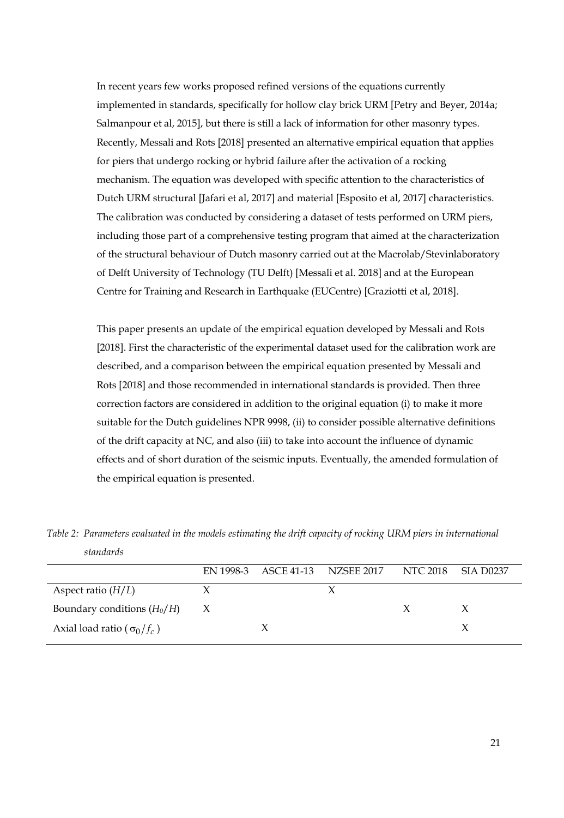In recent years few works proposed refined versions of the equations currently implemented in standards, specifically for hollow clay brick URM [Petry and Beyer, 2014a; Salmanpour et al, 2015], but there is still a lack of information for other masonry types. Recently, Messali and Rots [2018] presented an alternative empirical equation that applies for piers that undergo rocking or hybrid failure after the activation of a rocking mechanism. The equation was developed with specific attention to the characteristics of Dutch URM structural [Jafari et al, 2017] and material [Esposito et al, 2017] characteristics. The calibration was conducted by considering a dataset of tests performed on URM piers, including those part of a comprehensive testing program that aimed at the characterization of the structural behaviour of Dutch masonry carried out at the Macrolab/Stevinlaboratory of Delft University of Technology (TU Delft) [Messali et al. 2018] and at the European Centre for Training and Research in Earthquake (EUCentre) [Graziotti et al, 2018].

This paper presents an update of the empirical equation developed by Messali and Rots [2018]. First the characteristic of the experimental dataset used for the calibration work are described, and a comparison between the empirical equation presented by Messali and Rots [2018] and those recommended in international standards is provided. Then three correction factors are considered in addition to the original equation (i) to make it more suitable for the Dutch guidelines NPR 9998, (ii) to consider possible alternative definitions of the drift capacity at NC, and also (iii) to take into account the influence of dynamic effects and of short duration of the seismic inputs. Eventually, the amended formulation of the empirical equation is presented.

*Table 2: Parameters evaluated in the models estimating the drift capacity of rocking URM piers in international standards*

|                                     |  | EN 1998-3 ASCE 41-13 NZSEE 2017 NTC 2018 SIA D0237 |              |  |
|-------------------------------------|--|----------------------------------------------------|--------------|--|
| Aspect ratio $(H/L)$                |  |                                                    |              |  |
| Boundary conditions $(H_0/H)$ X     |  |                                                    | $\mathbf{x}$ |  |
| Axial load ratio ( $\sigma_0/f_c$ ) |  |                                                    |              |  |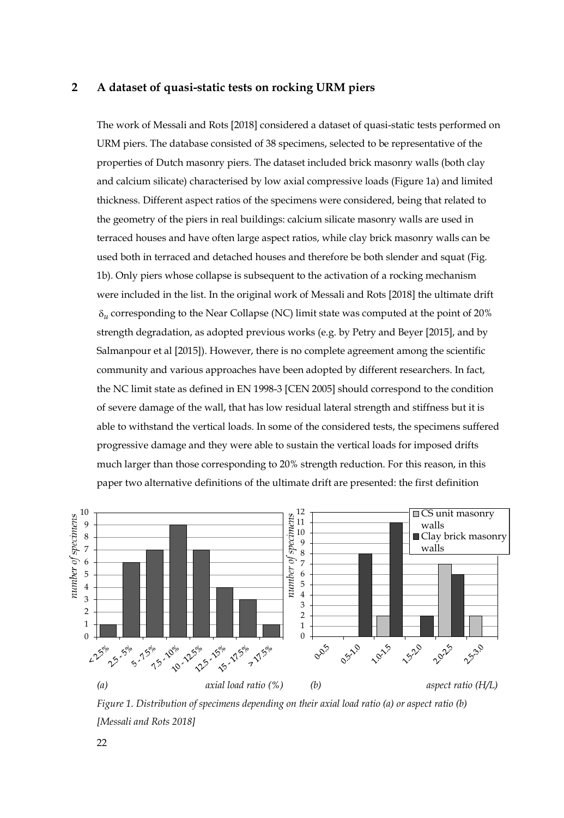#### **2 A dataset of quasi-static tests on rocking URM piers**

The work of Messali and Rots [2018] considered a dataset of quasi-static tests performed on URM piers. The database consisted of 38 specimens, selected to be representative of the properties of Dutch masonry piers. The dataset included brick masonry walls (both clay and calcium silicate) characterised by low axial compressive loads (Figure 1a) and limited thickness. Different aspect ratios of the specimens were considered, being that related to the geometry of the piers in real buildings: calcium silicate masonry walls are used in terraced houses and have often large aspect ratios, while clay brick masonry walls can be used both in terraced and detached houses and therefore be both slender and squat (Fig. 1b). Only piers whose collapse is subsequent to the activation of a rocking mechanism were included in the list. In the original work of Messali and Rots [2018] the ultimate drift δ*<sup>u</sup>* corresponding to the Near Collapse (NC) limit state was computed at the point of 20% strength degradation, as adopted previous works (e.g. by Petry and Beyer [2015], and by Salmanpour et al [2015]). However, there is no complete agreement among the scientific community and various approaches have been adopted by different researchers. In fact, the NC limit state as defined in EN 1998-3 [CEN 2005] should correspond to the condition of severe damage of the wall, that has low residual lateral strength and stiffness but it is able to withstand the vertical loads. In some of the considered tests, the specimens suffered progressive damage and they were able to sustain the vertical loads for imposed drifts much larger than those corresponding to 20% strength reduction. For this reason, in this paper two alternative definitions of the ultimate drift are presented: the first definition



*Figure 1. Distribution of specimens depending on their axial load ratio (a) or aspect ratio (b)*   *[Messali and Rots 2018]*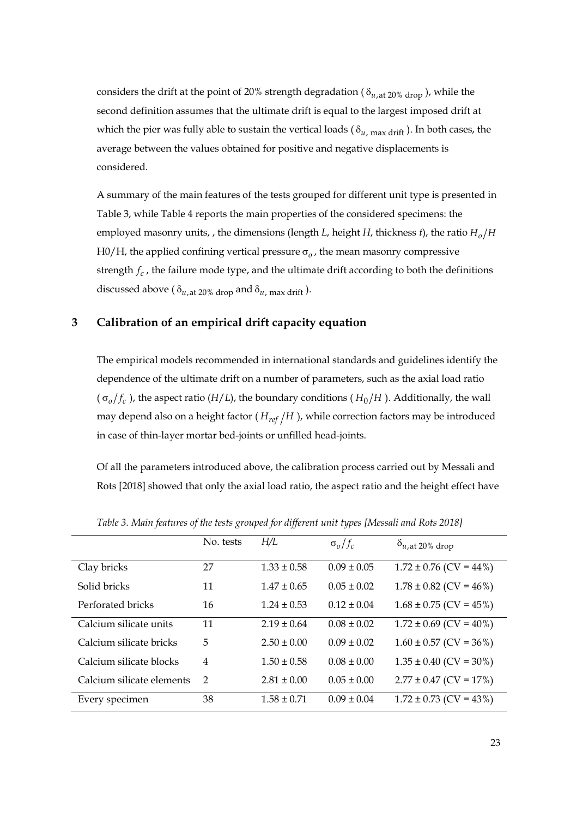considers the drift at the point of 20% strength degradation ( $\delta_{u, \text{at 20\%}$  drop), while the second definition assumes that the ultimate drift is equal to the largest imposed drift at which the pier was fully able to sustain the vertical loads ( $\delta_{u}$ ,  $_{\text{max drift}}$ ). In both cases, the average between the values obtained for positive and negative displacements is considered.

A summary of the main features of the tests grouped for different unit type is presented in Table 3, while Table 4 reports the main properties of the considered specimens: the employed masonry units, , the dimensions (length *L*, height *H*, thickness *t*), the ratio  $H_0/H$ H0/H, the applied confining vertical pressure σ*<sup>o</sup>* , the mean masonry compressive strength  $f_c$ , the failure mode type, and the ultimate drift according to both the definitions discussed above ( $\delta_{u, \text{at 20\% drop}}$  and  $\delta_{u, \text{max drift}}$ ).

# **3 Calibration of an empirical drift capacity equation**

The empirical models recommended in international standards and guidelines identify the dependence of the ultimate drift on a number of parameters, such as the axial load ratio  $(\sigma_o/f_c)$ , the aspect ratio (*H*/*L*), the boundary conditions (*H*<sub>0</sub>/*H*). Additionally, the wall may depend also on a height factor ( $H_{ref}/H$ ), while correction factors may be introduced in case of thin-layer mortar bed-joints or unfilled head-joints.

Of all the parameters introduced above, the calibration process carried out by Messali and Rots [2018] showed that only the axial load ratio, the aspect ratio and the height effect have

|                           | No. tests     | H/L             | $\sigma_o/f_c$  | $\delta_{u,at}$ 20% drop   |
|---------------------------|---------------|-----------------|-----------------|----------------------------|
| Clay bricks               | 27            | $1.33 \pm 0.58$ | $0.09 \pm 0.05$ | $1.72 \pm 0.76$ (CV = 44%) |
| Solid bricks              | 11            | $1.47 \pm 0.65$ | $0.05 \pm 0.02$ | $1.78 \pm 0.82$ (CV = 46%) |
| Perforated bricks         | 16            | $1.24 \pm 0.53$ | $0.12 \pm 0.04$ | $1.68 \pm 0.75$ (CV = 45%) |
| Calcium silicate units    | 11            | $2.19 \pm 0.64$ | $0.08 \pm 0.02$ | $1.72 \pm 0.69$ (CV = 40%) |
| Calcium silicate bricks   | 5             | $2.50 \pm 0.00$ | $0.09 \pm 0.02$ | $1.60 \pm 0.57$ (CV = 36%) |
| Calcium silicate blocks   | 4             | $1.50 \pm 0.58$ | $0.08 \pm 0.00$ | $1.35 \pm 0.40$ (CV = 30%) |
| Calcium silicate elements | $\mathcal{P}$ | $2.81 \pm 0.00$ | $0.05 \pm 0.00$ | $2.77 \pm 0.47$ (CV = 17%) |
| Every specimen            | 38            | $1.58 \pm 0.71$ | $0.09 \pm 0.04$ | $1.72 \pm 0.73$ (CV = 43%) |

*Table 3. Main features of the tests grouped for different unit types [Messali and Rots 2018]*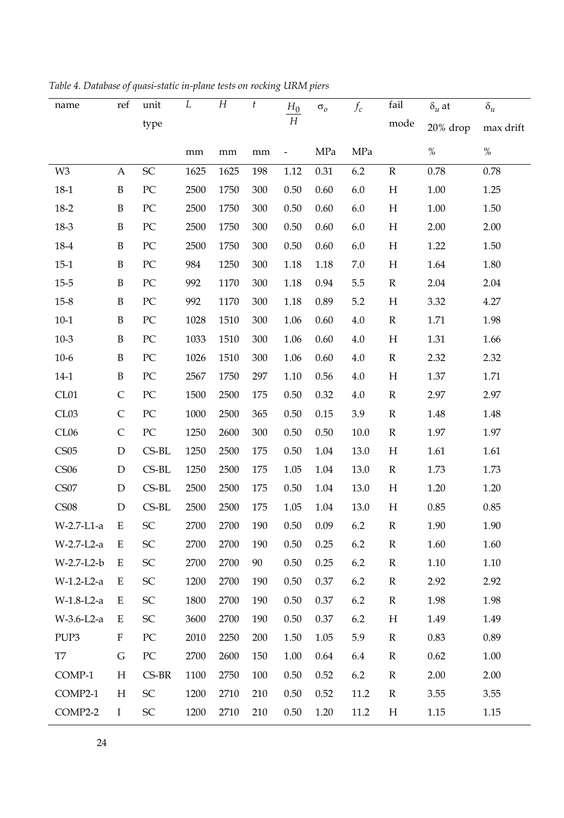| name             | ref         | unit                       | L    | Н    | $\mathfrak{t}$ | $H_0$                    | $\sigma$ <sub>0</sub> | $f_c$    | fail                      | $\delta_u$ at | $\delta_u$ |
|------------------|-------------|----------------------------|------|------|----------------|--------------------------|-----------------------|----------|---------------------------|---------------|------------|
|                  |             | type                       |      |      |                | $\boldsymbol{H}$         |                       |          | mode                      | 20% drop      | max drift  |
|                  |             |                            | mm   | mm   | mm             | $\overline{\phantom{a}}$ | MPa                   | MPa      |                           | $\%$          | $\%$       |
| W3               | А           | $\ensuremath{\mathsf{SC}}$ | 1625 | 1625 | 198            | 1.12                     | 0.31                  | 6.2      | $\mathbb R$               | 0.78          | 0.78       |
| $18-1$           | B           | ${\rm P}{\bf C}$           | 2500 | 1750 | 300            | 0.50                     | 0.60                  | $6.0\,$  | $H_{\rm}$                 | $1.00\,$      | 1.25       |
| $18 - 2$         | B           | PC                         | 2500 | 1750 | 300            | 0.50                     | 0.60                  | $6.0\,$  | $\boldsymbol{\mathrm{H}}$ | 1.00          | 1.50       |
| 18-3             | B           | PC                         | 2500 | 1750 | 300            | 0.50                     | $0.60\,$              | 6.0      | $H_{\rm}$                 | 2.00          | 2.00       |
| 18-4             | B           | ${\rm P}{\bf C}$           | 2500 | 1750 | 300            | 0.50                     | 0.60                  | $6.0\,$  | $H_{\rm}$                 | 1.22          | 1.50       |
| $15 - 1$         | B           | PC                         | 984  | 1250 | 300            | 1.18                     | 1.18                  | $7.0\,$  | $\boldsymbol{\mathrm{H}}$ | 1.64          | $1.80\,$   |
| $15 - 5$         | B           | PC                         | 992  | 1170 | 300            | 1.18                     | 0.94                  | 5.5      | $\mathbb R$               | 2.04          | 2.04       |
| $15 - 8$         | B           | ${\rm P}{\bf C}$           | 992  | 1170 | 300            | 1.18                     | 0.89                  | $5.2\,$  | $H_{\rm}$                 | 3.32          | 4.27       |
| $10-1$           | B           | PC                         | 1028 | 1510 | 300            | 1.06                     | 0.60                  | $4.0\,$  | $\mathbb R$               | 1.71          | 1.98       |
| $10-3$           | B           | PC                         | 1033 | 1510 | 300            | 1.06                     | 0.60                  | 4.0      | $H_{\rm}$                 | 1.31          | 1.66       |
| $10 - 6$         | B           | PC                         | 1026 | 1510 | 300            | 1.06                     | 0.60                  | 4.0      | $\mathbb R$               | 2.32          | 2.32       |
| $14-1$           | B           | PC                         | 2567 | 1750 | 297            | 1.10                     | 0.56                  | 4.0      | $H_{\rm}$                 | 1.37          | 1.71       |
| CL01             | C           | PC                         | 1500 | 2500 | 175            | 0.50                     | 0.32                  | $4.0\,$  | $\mathbb R$               | 2.97          | 2.97       |
| CL03             | C           | PC                         | 1000 | 2500 | 365            | 0.50                     | 0.15                  | 3.9      | ${\bf R}$                 | 1.48          | 1.48       |
| CL06             | C           | ${\rm PC}$                 | 1250 | 2600 | 300            | 0.50                     | $0.50\,$              | $10.0\,$ | $\mathbb R$               | 1.97          | 1.97       |
| CS <sub>05</sub> | D           | $CS-BL$                    | 1250 | 2500 | 175            | 0.50                     | 1.04                  | 13.0     | H                         | 1.61          | 1.61       |
| CS <sub>06</sub> | D           | $CS-BL$                    | 1250 | 2500 | 175            | 1.05                     | 1.04                  | 13.0     | ${\mathbb R}$             | 1.73          | 1.73       |
| CS07             | D           | $CS-BL$                    | 2500 | 2500 | 175            | 0.50                     | 1.04                  | 13.0     | $H_{\rm}$                 | 1.20          | 1.20       |
| CS <sub>08</sub> | D           | $CS-BL$                    | 2500 | 2500 | 175            | 1.05                     | 1.04                  | 13.0     | $H_{\rm}$                 | 0.85          | 0.85       |
| W-2.7-L1-a       | Ε           | $\ensuremath{\mathsf{SC}}$ | 2700 | 2700 | 190            | 0.50                     | 0.09                  | 6.2      | $\mathbb R$               | 1.90          | 1.90       |
| W-2.7-L2-a       | Ε           | SC                         | 2700 | 2700 | 190            | 0.50                     | 0.25                  | $6.2\,$  | $\mathbb R$               | 1.60          | 1.60       |
| W-2.7-L2-b       | Ε           | SC                         | 2700 | 2700 | 90             | 0.50                     | 0.25                  | $6.2\,$  | $\mathbb R$               | $1.10\,$      | 1.10       |
| W-1.2-L2-a       | Ε           | SC                         | 1200 | 2700 | 190            | 0.50                     | 0.37                  | 6.2      | $\mathbb R$               | 2.92          | 2.92       |
| W-1.8-L2-a       | E           | SC                         | 1800 | 2700 | 190            | 0.50                     | 0.37                  | 6.2      | $\mathbb R$               | 1.98          | 1.98       |
| W-3.6-L2-a       | Ε           | SC                         | 3600 | 2700 | 190            | 0.50                     | $0.37\,$              | 6.2      | H                         | 1.49          | 1.49       |
| PUP3             | F           | PC                         | 2010 | 2250 | 200            | 1.50                     | 1.05                  | 5.9      | R                         | 0.83          | 0.89       |
| T7               | G           | PC                         | 2700 | 2600 | 150            | 1.00                     | 0.64                  | 6.4      | $\mathbb R$               | 0.62          | 1.00       |
| COMP-1           | Н           | $CS-BR$                    | 1100 | 2750 | 100            | 0.50                     | 0.52                  | $6.2\,$  | $\mathbb{R}$              | 2.00          | 2.00       |
| COMP2-1          | H           | SC                         | 1200 | 2710 | 210            | 0.50                     | 0.52                  | 11.2     | R                         | 3.55          | 3.55       |
| COMP2-2          | $\mathbf I$ | SC                         | 1200 | 2710 | 210            | 0.50                     | 1.20                  | 11.2     | $\boldsymbol{\mathrm{H}}$ | 1.15          | 1.15       |

*Table 4. Database of quasi-static in-plane tests on rocking URM piers*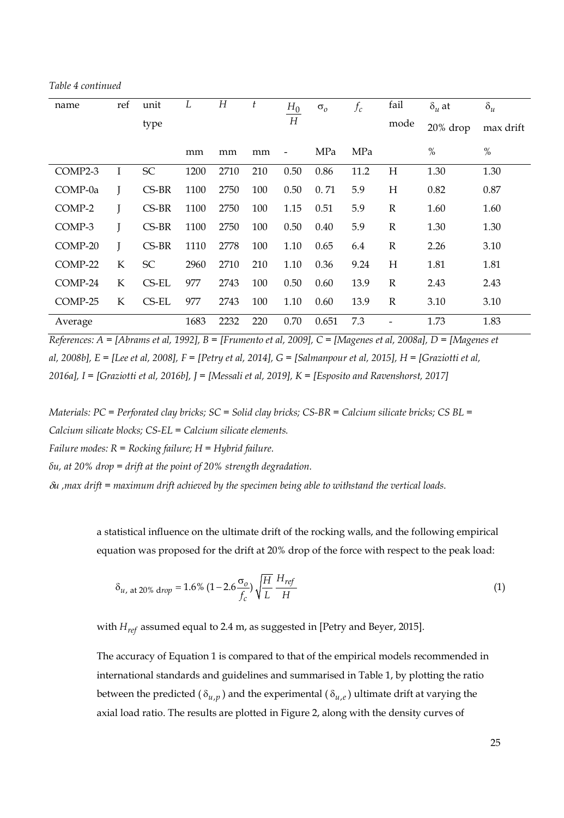*Table 4 continued*

| name      | ref | unit      | L    | Н    | t   | $H_0$ | $\sigma$ <sub>0</sub> | $f_c$ | fail | $\delta_u$ at | $\delta_u$ |
|-----------|-----|-----------|------|------|-----|-------|-----------------------|-------|------|---------------|------------|
|           |     | type      |      |      |     | H     |                       |       | mode | 20% drop      | max drift  |
|           |     |           | mm   | mm   | mm  |       | MPa                   | MPa   |      | $\%$          | $\%$       |
| COMP2-3   | Ι.  | SC        | 1200 | 2710 | 210 | 0.50  | 0.86                  | 11.2  | H    | 1.30          | 1.30       |
| COMP-0a   | L   | $CS-BR$   | 1100 | 2750 | 100 | 0.50  | 0.71                  | 5.9   | H    | 0.82          | 0.87       |
| COMP-2    | L   | $CS-BR$   | 1100 | 2750 | 100 | 1.15  | 0.51                  | 5.9   | R    | 1.60          | 1.60       |
| COMP-3    | I   | $CS-BR$   | 1100 | 2750 | 100 | 0.50  | 0.40                  | 5.9   | R    | 1.30          | 1.30       |
| $COMP-20$ | L   | $CS-BR$   | 1110 | 2778 | 100 | 1.10  | 0.65                  | 6.4   | R    | 2.26          | 3.10       |
| COMP-22   | K   | <b>SC</b> | 2960 | 2710 | 210 | 1.10  | 0.36                  | 9.24  | H    | 1.81          | 1.81       |
| COMP-24   | K   | $CS$ -EL  | 977  | 2743 | 100 | 0.50  | 0.60                  | 13.9  | R    | 2.43          | 2.43       |
| COMP-25   | K   | CS-EL     | 977  | 2743 | 100 | 1.10  | 0.60                  | 13.9  | R    | 3.10          | 3.10       |
| Average   |     |           | 1683 | 2232 | 220 | 0.70  | 0.651                 | 7.3   |      | 1.73          | 1.83       |

*References: A = [Abrams et al, 1992], B = [Frumento et al, 2009], C = [Magenes et al, 2008a], D = [Magenes et al, 2008b],*  $E =$  [Lee et al, 2008],  $F =$  [Petry et al, 2014],  $G =$  [Salmanpour et al, 2015],  $H =$  [Graziotti et al, *2016a], I = [Graziotti et al, 2016b], J = [Messali et al, 2019], K = [Esposito and Ravenshorst, 2017]*

*Materials: PC = Perforated clay bricks; SC = Solid clay bricks; CS-BR = Calcium silicate bricks; CS BL =* 

*Calcium silicate blocks; CS-EL = Calcium silicate elements.*

*Failure modes: R = Rocking failure; H = Hybrid failure.*

*δu, at 20% drop = drift at the point of 20% strength degradation.*

δ*u ,max drift = maximum drift achieved by the specimen being able to withstand the vertical loads.*

a statistical influence on the ultimate drift of the rocking walls, and the following empirical equation was proposed for the drift at 20% drop of the force with respect to the peak load:

$$
\delta_{u, \text{ at 20\% drop}} = 1.6\% (1 - 2.6 \frac{\sigma_o}{f_c}) \sqrt{\frac{H}{L}} \frac{H_{ref}}{H}
$$
 (1)

with *Href* assumed equal to 2.4 m, as suggested in [Petry and Beyer, 2015].

The accuracy of Equation 1 is compared to that of the empirical models recommended in international standards and guidelines and summarised in Table 1, by plotting the ratio between the predicted ( $\delta_{u,p}$ ) and the experimental ( $\delta_{u,e}$ ) ultimate drift at varying the axial load ratio. The results are plotted in Figure 2, along with the density curves of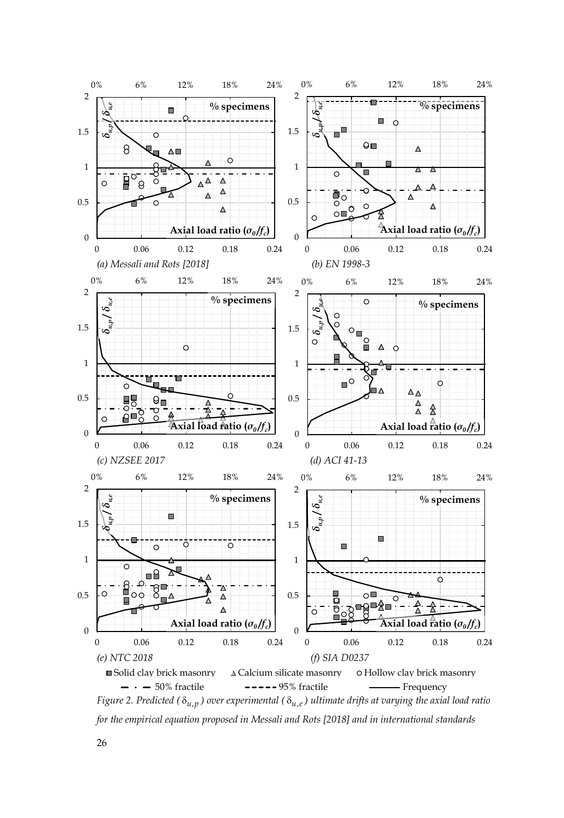

*Figure 2. Predicted (* δ*u p*, *) over experimental (* δ*u e*, *) ultimate drifts at varying the axial load ratio for the empirical equation proposed in Messali and Rots [2018] and in international standards*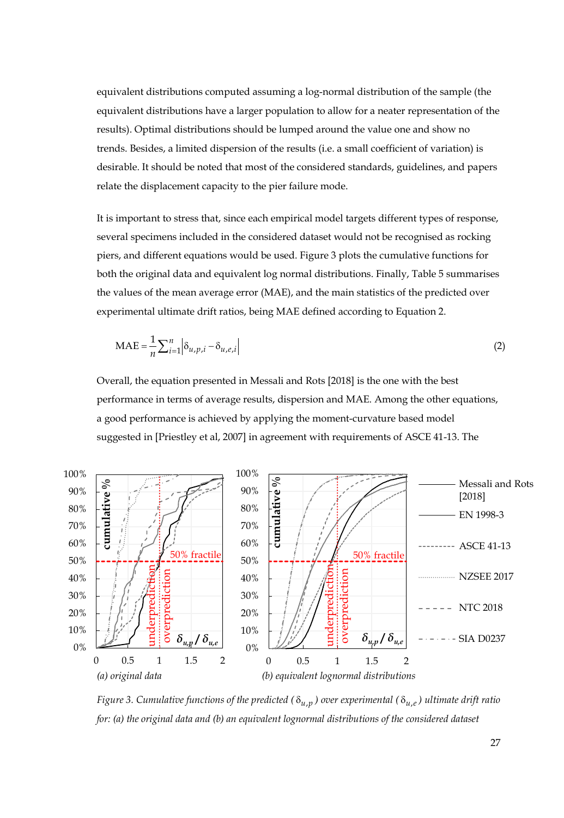equivalent distributions computed assuming a log-normal distribution of the sample (the equivalent distributions have a larger population to allow for a neater representation of the results). Optimal distributions should be lumped around the value one and show no trends. Besides, a limited dispersion of the results (i.e. a small coefficient of variation) is desirable. It should be noted that most of the considered standards, guidelines, and papers relate the displacement capacity to the pier failure mode.

It is important to stress that, since each empirical model targets different types of response, several specimens included in the considered dataset would not be recognised as rocking piers, and different equations would be used. Figure 3 plots the cumulative functions for both the original data and equivalent log normal distributions. Finally, Table 5 summarises the values of the mean average error (MAE), and the main statistics of the predicted over experimental ultimate drift ratios, being MAE defined according to Equation 2.

$$
\text{MAE} = \frac{1}{n} \sum_{i=1}^{n} \left| \delta_{u,p,i} - \delta_{u,e,i} \right| \tag{2}
$$

Overall, the equation presented in Messali and Rots [2018] is the one with the best performance in terms of average results, dispersion and MAE. Among the other equations, a good performance is achieved by applying the moment-curvature based model suggested in [Priestley et al, 2007] in agreement with requirements of ASCE 41-13. The



*Figure 3. Cumulative functions of the predicted (* $\delta_{u,p}$ *) over experimental (* $\delta_{u,e}$ *) ultimate drift ratio for: (a) the original data and (b) an equivalent lognormal distributions of the considered dataset*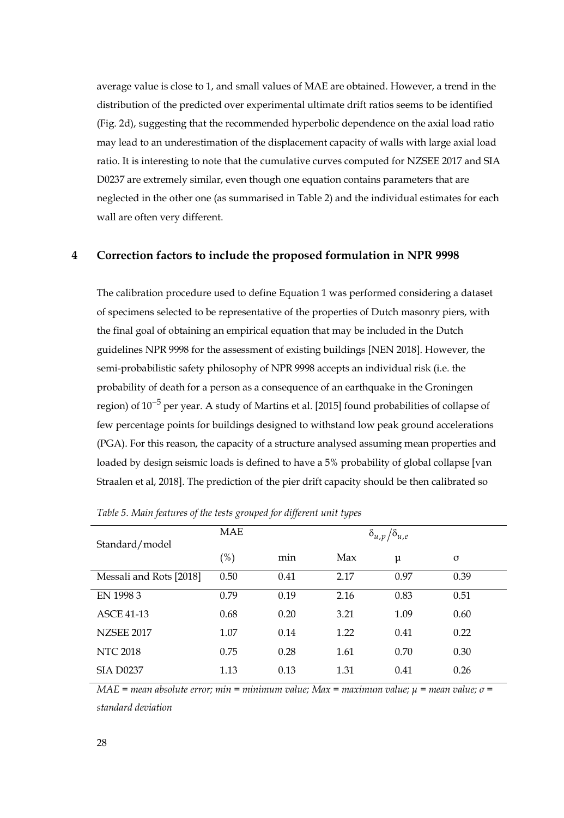average value is close to 1, and small values of MAE are obtained. However, a trend in the distribution of the predicted over experimental ultimate drift ratios seems to be identified (Fig. 2d), suggesting that the recommended hyperbolic dependence on the axial load ratio may lead to an underestimation of the displacement capacity of walls with large axial load ratio. It is interesting to note that the cumulative curves computed for NZSEE 2017 and SIA D0237 are extremely similar, even though one equation contains parameters that are neglected in the other one (as summarised in Table 2) and the individual estimates for each wall are often very different.

#### **4 Correction factors to include the proposed formulation in NPR 9998**

The calibration procedure used to define Equation 1 was performed considering a dataset of specimens selected to be representative of the properties of Dutch masonry piers, with the final goal of obtaining an empirical equation that may be included in the Dutch guidelines NPR 9998 for the assessment of existing buildings [NEN 2018]. However, the semi-probabilistic safety philosophy of NPR 9998 accepts an individual risk (i.e. the probability of death for a person as a consequence of an earthquake in the Groningen region) of  $10^{-5}$  per year. A study of Martins et al. [2015] found probabilities of collapse of few percentage points for buildings designed to withstand low peak ground accelerations (PGA). For this reason, the capacity of a structure analysed assuming mean properties and loaded by design seismic loads is defined to have a 5% probability of global collapse [van Straalen et al, 2018]. The prediction of the pier drift capacity should be then calibrated so

| Standard/model          | <b>MAE</b> |      |      | $\delta_{u,p}/\delta_{u,e}$ |      |  |
|-------------------------|------------|------|------|-----------------------------|------|--|
|                         | $(\%)$     | min  | Max  | μ                           | σ    |  |
| Messali and Rots [2018] | 0.50       | 0.41 | 2.17 | 0.97                        | 0.39 |  |
| EN 1998 3               | 0.79       | 0.19 | 2.16 | 0.83                        | 0.51 |  |
| ASCE 41-13              | 0.68       | 0.20 | 3.21 | 1.09                        | 0.60 |  |
| <b>NZSEE 2017</b>       | 1.07       | 0.14 | 1.22 | 0.41                        | 0.22 |  |
| <b>NTC 2018</b>         | 0.75       | 0.28 | 1.61 | 0.70                        | 0.30 |  |
| <b>SIA D0237</b>        | 1.13       | 0.13 | 1.31 | 0.41                        | 0.26 |  |

*Table 5. Main features of the tests grouped for different unit types*

*MAE = mean absolute error; min = minimum value; Max = maximum value; μ = mean value; σ = standard deviation*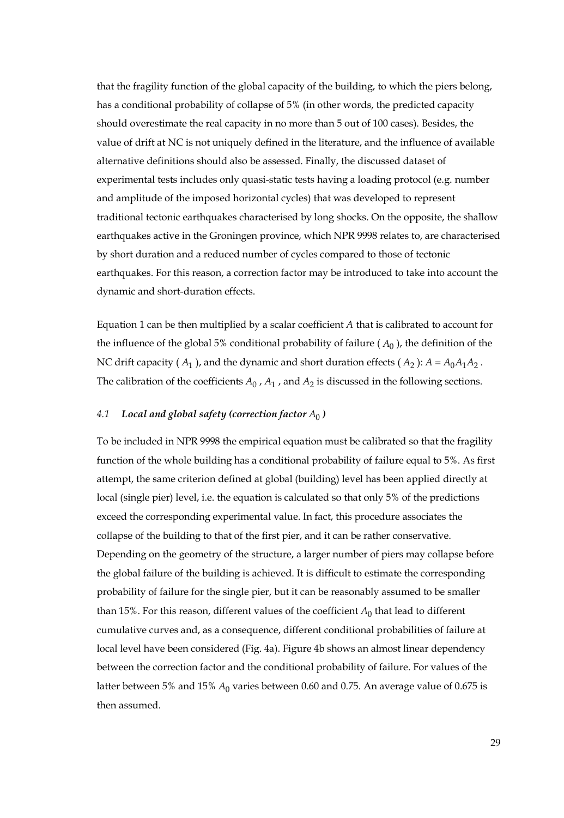that the fragility function of the global capacity of the building, to which the piers belong, has a conditional probability of collapse of 5% (in other words, the predicted capacity should overestimate the real capacity in no more than 5 out of 100 cases). Besides, the value of drift at NC is not uniquely defined in the literature, and the influence of available alternative definitions should also be assessed. Finally, the discussed dataset of experimental tests includes only quasi-static tests having a loading protocol (e.g. number and amplitude of the imposed horizontal cycles) that was developed to represent traditional tectonic earthquakes characterised by long shocks. On the opposite, the shallow earthquakes active in the Groningen province, which NPR 9998 relates to, are characterised by short duration and a reduced number of cycles compared to those of tectonic earthquakes. For this reason, a correction factor may be introduced to take into account the dynamic and short-duration effects.

Equation 1 can be then multiplied by a scalar coefficient *A* that is calibrated to account for the influence of the global 5% conditional probability of failure  $(A_0)$ , the definition of the NC drift capacity ( $A_1$ ), and the dynamic and short duration effects ( $A_2$ ):  $A = A_0A_1A_2$ . The calibration of the coefficients  $A_0$ ,  $A_1$ , and  $A_2$  is discussed in the following sections.

#### 4.1 *Local and global safety (correction factor*  $A_0$ )

To be included in NPR 9998 the empirical equation must be calibrated so that the fragility function of the whole building has a conditional probability of failure equal to 5%. As first attempt, the same criterion defined at global (building) level has been applied directly at local (single pier) level, i.e. the equation is calculated so that only 5% of the predictions exceed the corresponding experimental value. In fact, this procedure associates the collapse of the building to that of the first pier, and it can be rather conservative. Depending on the geometry of the structure, a larger number of piers may collapse before the global failure of the building is achieved. It is difficult to estimate the corresponding probability of failure for the single pier, but it can be reasonably assumed to be smaller than 15%. For this reason, different values of the coefficient  $A_0$  that lead to different cumulative curves and, as a consequence, different conditional probabilities of failure at local level have been considered (Fig. 4a). Figure 4b shows an almost linear dependency between the correction factor and the conditional probability of failure. For values of the latter between 5% and 15%  $A_0$  varies between 0.60 and 0.75. An average value of 0.675 is then assumed.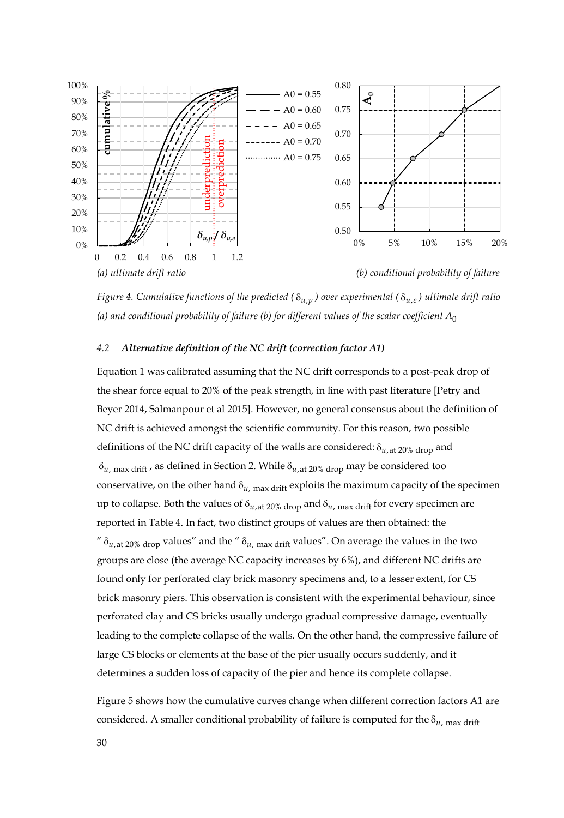

*Figure 4. Cumulative functions of the predicted (* δ*u p*, *) over experimental (* δ*u e*, *) ultimate drift ratio (a) and conditional probability of failure (b) for different values of the scalar coefficient A*<sup>0</sup>

### *4.2 Alternative definition of the NC drift (correction factor A1)*

Equation 1 was calibrated assuming that the NC drift corresponds to a post-peak drop of the shear force equal to 20% of the peak strength, in line with past literature [Petry and Beyer 2014, Salmanpour et al 2015]. However, no general consensus about the definition of NC drift is achieved amongst the scientific community. For this reason, two possible definitions of the NC drift capacity of the walls are considered: δ*u*,at 20% drop and  $\delta_{u}$ , max drift , as defined in Section 2. While  $\delta_{u, \text{at 20\% drop}}$  may be considered too conservative, on the other hand  $\delta_{u, \text{max drift}}$  exploits the maximum capacity of the specimen up to collapse. Both the values of  $\delta_{u, \text{at 20\% drop}}$  and  $\delta_{u, \text{max drift}}$  for every specimen are reported in Table 4. In fact, two distinct groups of values are then obtained: the "  $\delta_{u, \text{at 20\% drop}}$  values" and the "  $\delta_{u, \text{max drift}}$  values". On average the values in the two groups are close (the average NC capacity increases by 6%), and different NC drifts are found only for perforated clay brick masonry specimens and, to a lesser extent, for CS brick masonry piers. This observation is consistent with the experimental behaviour, since perforated clay and CS bricks usually undergo gradual compressive damage, eventually leading to the complete collapse of the walls. On the other hand, the compressive failure of large CS blocks or elements at the base of the pier usually occurs suddenly, and it determines a sudden loss of capacity of the pier and hence its complete collapse.

Figure 5 shows how the cumulative curves change when different correction factors A1 are considered. A smaller conditional probability of failure is computed for the  $\delta$ <sub>*u*, max drift</sub>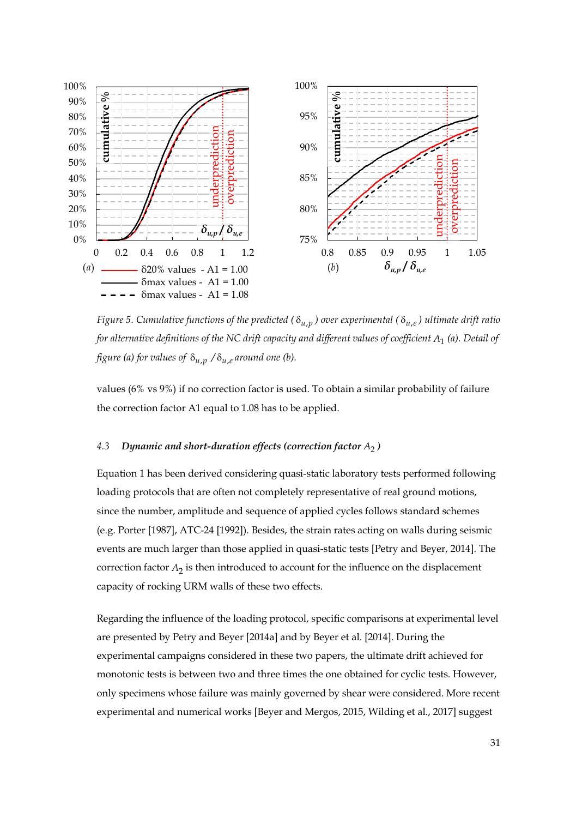

*Figure 5. Cumulative functions of the predicted* ( $\delta_{u,p}$ ) over experimental ( $\delta_{u,e}$ ) ultimate drift ratio *for alternative definitions of the NC drift capacity and different values of coefficient A*<sup>1</sup> *(a). Detail of figure (a) for values of*  $\delta_{u,v}$  / $\delta_{u,e}$  *around one (b).* 

values (6% vs 9%) if no correction factor is used. To obtain a similar probability of failure the correction factor A1 equal to 1.08 has to be applied.

#### 4.3 *Dynamic and short-duration effects (correction factor*  $A_2$ )

Equation 1 has been derived considering quasi-static laboratory tests performed following loading protocols that are often not completely representative of real ground motions, since the number, amplitude and sequence of applied cycles follows standard schemes (e.g. Porter [1987], ATC-24 [1992]). Besides, the strain rates acting on walls during seismic events are much larger than those applied in quasi-static tests [Petry and Beyer, 2014]. The correction factor  $A_2$  is then introduced to account for the influence on the displacement capacity of rocking URM walls of these two effects.

Regarding the influence of the loading protocol, specific comparisons at experimental level are presented by Petry and Beyer [2014a] and by Beyer et al. [2014]. During the experimental campaigns considered in these two papers, the ultimate drift achieved for monotonic tests is between two and three times the one obtained for cyclic tests. However, only specimens whose failure was mainly governed by shear were considered. More recent experimental and numerical works [Beyer and Mergos, 2015, Wilding et al., 2017] suggest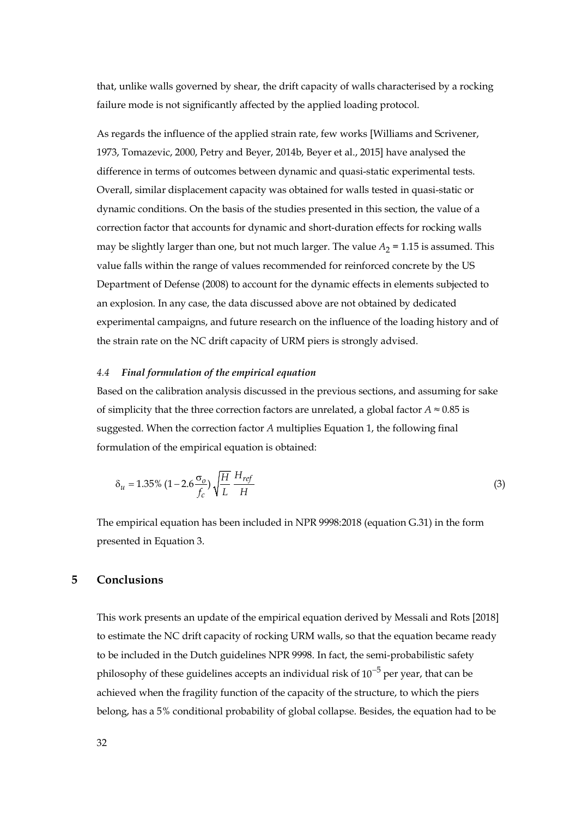that, unlike walls governed by shear, the drift capacity of walls characterised by a rocking failure mode is not significantly affected by the applied loading protocol.

As regards the influence of the applied strain rate, few works [Williams and Scrivener, 1973, Tomazevic, 2000, Petry and Beyer, 2014b, Beyer et al., 2015] have analysed the difference in terms of outcomes between dynamic and quasi-static experimental tests. Overall, similar displacement capacity was obtained for walls tested in quasi-static or dynamic conditions. On the basis of the studies presented in this section, the value of a correction factor that accounts for dynamic and short-duration effects for rocking walls may be slightly larger than one, but not much larger. The value  $A_2 = 1.15$  is assumed. This value falls within the range of values recommended for reinforced concrete by the US Department of Defense (2008) to account for the dynamic effects in elements subjected to an explosion. In any case, the data discussed above are not obtained by dedicated experimental campaigns, and future research on the influence of the loading history and of the strain rate on the NC drift capacity of URM piers is strongly advised.

#### *4.4 Final formulation of the empirical equation*

Based on the calibration analysis discussed in the previous sections, and assuming for sake of simplicity that the three correction factors are unrelated, a global factor  $A \approx 0.85$  is suggested. When the correction factor *A* multiplies Equation 1, the following final formulation of the empirical equation is obtained:

$$
\delta_u = 1.35\% \left(1 - 2.6 \frac{\sigma_o}{f_c}\right) \sqrt{\frac{H}{L}} \frac{H_{ref}}{H}
$$
\n
$$
\tag{3}
$$

The empirical equation has been included in NPR 9998:2018 (equation G.31) in the form presented in Equation 3.

## **5 Conclusions**

This work presents an update of the empirical equation derived by Messali and Rots [2018] to estimate the NC drift capacity of rocking URM walls, so that the equation became ready to be included in the Dutch guidelines NPR 9998. In fact, the semi-probabilistic safety philosophy of these guidelines accepts an individual risk of  $10^{-5}$  per year, that can be achieved when the fragility function of the capacity of the structure, to which the piers belong, has a 5% conditional probability of global collapse. Besides, the equation had to be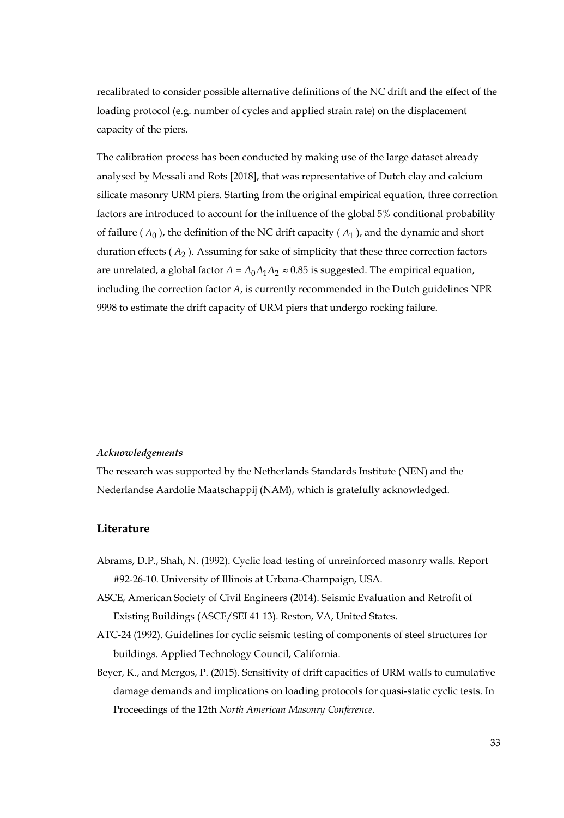recalibrated to consider possible alternative definitions of the NC drift and the effect of the loading protocol (e.g. number of cycles and applied strain rate) on the displacement capacity of the piers.

The calibration process has been conducted by making use of the large dataset already analysed by Messali and Rots [2018], that was representative of Dutch clay and calcium silicate masonry URM piers. Starting from the original empirical equation, three correction factors are introduced to account for the influence of the global 5% conditional probability of failure ( $A_0$ ), the definition of the NC drift capacity ( $A_1$ ), and the dynamic and short duration effects ( *A*<sup>2</sup> ). Assuming for sake of simplicity that these three correction factors are unrelated, a global factor  $A = A_0 A_1 A_2 \approx 0.85$  is suggested. The empirical equation, including the correction factor *A*, is currently recommended in the Dutch guidelines NPR 9998 to estimate the drift capacity of URM piers that undergo rocking failure.

#### *Acknowledgements*

The research was supported by the Netherlands Standards Institute (NEN) and the Nederlandse Aardolie Maatschappij (NAM), which is gratefully acknowledged.

## **Literature**

- Abrams, D.P., Shah, N. (1992). Cyclic load testing of unreinforced masonry walls. Report #92-26-10. University of Illinois at Urbana-Champaign, USA.
- ASCE, American Society of Civil Engineers (2014). Seismic Evaluation and Retrofit of Existing Buildings (ASCE/SEI 41 13). Reston, VA, United States.
- ATC-24 (1992). Guidelines for cyclic seismic testing of components of steel structures for buildings. Applied Technology Council, California.
- Beyer, K., and Mergos, P. (2015). Sensitivity of drift capacities of URM walls to cumulative damage demands and implications on loading protocols for quasi-static cyclic tests. In Proceedings of the 12th *North American Masonry Conference*.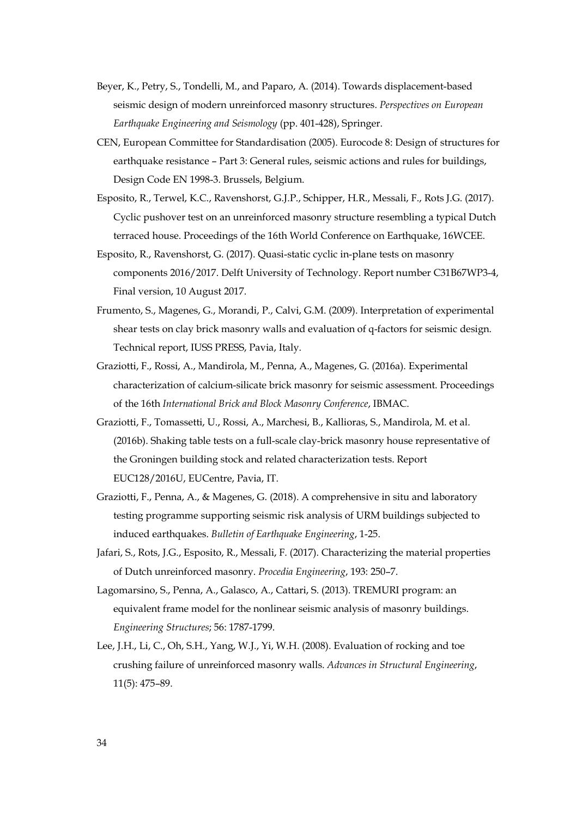- Beyer, K., Petry, S., Tondelli, M., and Paparo, A. (2014). Towards displacement-based seismic design of modern unreinforced masonry structures. *Perspectives on European Earthquake Engineering and Seismology* (pp. 401-428), Springer.
- CEN, European Committee for Standardisation (2005). Eurocode 8: Design of structures for earthquake resistance – Part 3: General rules, seismic actions and rules for buildings, Design Code EN 1998-3. Brussels, Belgium.
- Esposito, R., Terwel, K.C., Ravenshorst, G.J.P., Schipper, H.R., Messali, F., Rots J.G. (2017). Cyclic pushover test on an unreinforced masonry structure resembling a typical Dutch terraced house. Proceedings of the 16th World Conference on Earthquake, 16WCEE.
- Esposito, R., Ravenshorst, G. (2017). Quasi-static cyclic in-plane tests on masonry components 2016/2017. Delft University of Technology. Report number C31B67WP3-4, Final version, 10 August 2017.
- Frumento, S., Magenes, G., Morandi, P., Calvi, G.M. (2009). Interpretation of experimental shear tests on clay brick masonry walls and evaluation of q-factors for seismic design. Technical report, IUSS PRESS, Pavia, Italy.
- Graziotti, F., Rossi, A., Mandirola, M., Penna, A., Magenes, G. (2016a). Experimental characterization of calcium-silicate brick masonry for seismic assessment. Proceedings of the 16th *International Brick and Block Masonry Conference*, IBMAC.
- Graziotti, F., Tomassetti, U., Rossi, A., Marchesi, B., Kallioras, S., Mandirola, M. et al. (2016b). Shaking table tests on a full-scale clay-brick masonry house representative of the Groningen building stock and related characterization tests. Report EUC128/2016U, EUCentre, Pavia, IT.
- Graziotti, F., Penna, A., & Magenes, G. (2018). A comprehensive in situ and laboratory testing programme supporting seismic risk analysis of URM buildings subjected to induced earthquakes. *Bulletin of Earthquake Engineering*, 1-25.
- Jafari, S., Rots, J.G., Esposito, R., Messali, F. (2017). Characterizing the material properties of Dutch unreinforced masonry. *Procedia Engineering*, 193: 250–7.
- Lagomarsino, S., Penna, A., Galasco, A., Cattari, S. (2013). TREMURI program: an equivalent frame model for the nonlinear seismic analysis of masonry buildings. *Engineering Structures*; 56: 1787-1799.
- Lee, J.H., Li, C., Oh, S.H., Yang, W.J., Yi, W.H. (2008). Evaluation of rocking and toe crushing failure of unreinforced masonry walls. *Advances in Structural Engineering*, 11(5): 475–89.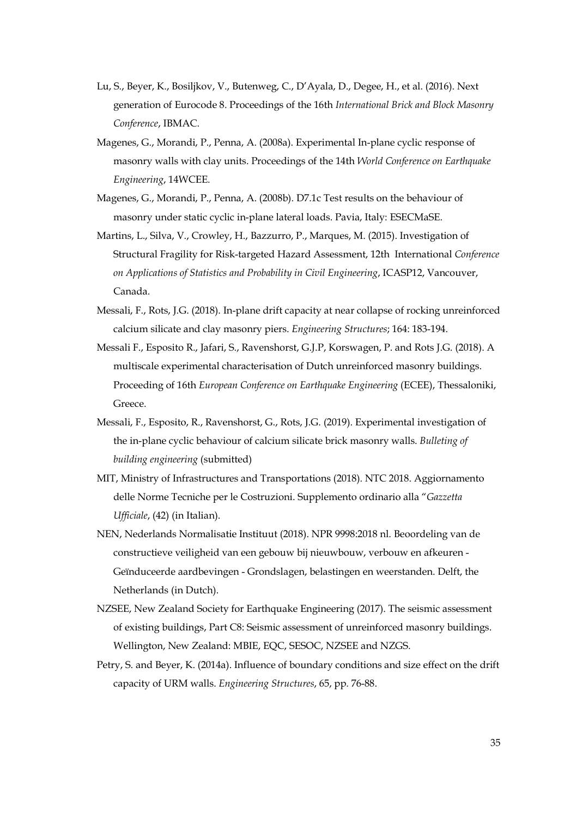- Lu, S., Beyer, K., Bosiljkov, V., Butenweg, C., D'Ayala, D., Degee, H., et al. (2016). Next generation of Eurocode 8. Proceedings of the 16th *International Brick and Block Masonry Conference*, IBMAC.
- Magenes, G., Morandi, P., Penna, A. (2008a). Experimental In-plane cyclic response of masonry walls with clay units. Proceedings of the 14th *World Conference on Earthquake Engineering*, 14WCEE.
- Magenes, G., Morandi, P., Penna, A. (2008b). D7.1c Test results on the behaviour of masonry under static cyclic in-plane lateral loads. Pavia, Italy: ESECMaSE.
- Martins, L., Silva, V., Crowley, H., Bazzurro, P., Marques, M. (2015). Investigation of Structural Fragility for Risk-targeted Hazard Assessment, 12th International *Conference on Applications of Statistics and Probability in Civil Engineering*, ICASP12, Vancouver, Canada.
- Messali, F., Rots, J.G. (2018). In-plane drift capacity at near collapse of rocking unreinforced calcium silicate and clay masonry piers. *Engineering Structures*; 164: 183-194.
- Messali F., Esposito R., Jafari, S., Ravenshorst, G.J.P, Korswagen, P. and Rots J.G. (2018). A multiscale experimental characterisation of Dutch unreinforced masonry buildings. Proceeding of 16th *European Conference on Earthquake Engineering* (ECEE), Thessaloniki, Greece.
- Messali, F., Esposito, R., Ravenshorst, G., Rots, J.G. (2019). Experimental investigation of the in-plane cyclic behaviour of calcium silicate brick masonry walls. *Bulleting of building engineering* (submitted)
- MIT, Ministry of Infrastructures and Transportations (2018). NTC 2018. Aggiornamento delle Norme Tecniche per le Costruzioni. Supplemento ordinario alla "*Gazzetta Ufficiale*, (42) (in Italian).
- NEN, Nederlands Normalisatie Instituut (2018). NPR 9998:2018 nl. Beoordeling van de constructieve veiligheid van een gebouw bij nieuwbouw, verbouw en afkeuren - Geïnduceerde aardbevingen - Grondslagen, belastingen en weerstanden. Delft, the Netherlands (in Dutch).
- NZSEE, New Zealand Society for Earthquake Engineering (2017). The seismic assessment of existing buildings, Part C8: Seismic assessment of unreinforced masonry buildings. Wellington, New Zealand: MBIE, EQC, SESOC, NZSEE and NZGS.
- Petry, S. and Beyer, K. (2014a). Influence of boundary conditions and size effect on the drift capacity of URM walls. *Engineering Structures*, 65, pp. 76-88.